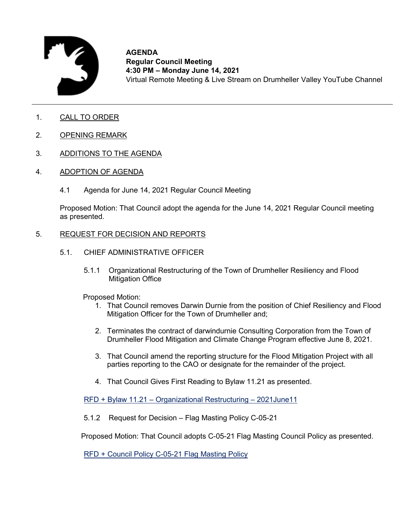

**AGENDA Regular Council Meeting 4:30 PM – Monday June 14, 2021** Virtual Remote Meeting & Live Stream on Drumheller Valley YouTube Channel

- 1. CALL TO ORDER
- 2. OPENING REMARK
- 3. ADDITIONS TO THE AGENDA
- 4. ADOPTION OF AGENDA
	- 4.1 Agenda for June 14, 2021 Regular Council Meeting

Proposed Motion: That Council adopt the agenda for the June 14, 2021 Regular Council meeting as presented.

#### 5. REQUEST FOR DECISION AND REPORTS

- 5.1. CHIEF ADMINISTRATIVE OFFICER
	- 5.1.1 Organizational Restructuring of the Town of Drumheller Resiliency and Flood Mitigation Office

Proposed Motion:

- 1. That Council removes Darwin Durnie from the position of Chief Resiliency and Flood Mitigation Officer for the Town of Drumheller and;
- 2. Terminates the contract of darwindurnie Consulting Corporation from the Town of Drumheller Flood Mitigation and Climate Change Program effective June 8, 2021.
- 3. That Council amend the reporting structure for the Flood Mitigation Project with all parties reporting to the CAO or designate for the remainder of the project.
- 4. That Council Gives First Reading to Bylaw 11.21 as presented.

RFD + Bylaw 11.21 – [Organizational Restructuring –](#page-2-0) 2021June11

5.1.2 Request for Decision – Flag Masting Policy C-05-21

Proposed Motion: That Council adopts C-05-21 Flag Masting Council Policy as presented.

[RFD + Council Policy C-05-21 Flag Masting Policy](#page-12-0)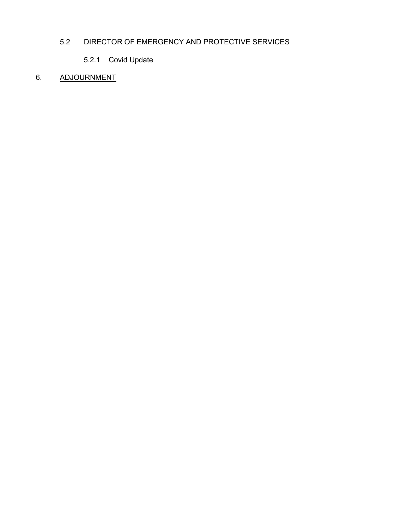# 5.2 DIRECTOR OF EMERGENCY AND PROTECTIVE SERVICES

5.2.1 Covid Update

# 6. ADJOURNMENT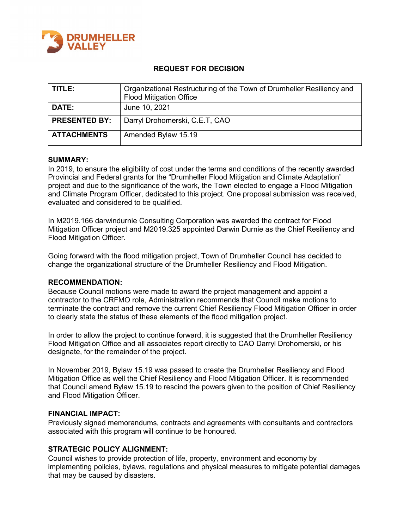<span id="page-2-0"></span>

## **REQUEST FOR DECISION**

| TITLE:               | Organizational Restructuring of the Town of Drumheller Resiliency and<br><b>Flood Mitigation Office</b> |
|----------------------|---------------------------------------------------------------------------------------------------------|
| <b>DATE:</b>         | June 10, 2021                                                                                           |
| <b>PRESENTED BY:</b> | Darryl Drohomerski, C.E.T, CAO                                                                          |
| <b>ATTACHMENTS</b>   | Amended Bylaw 15.19                                                                                     |

#### **SUMMARY:**

In 2019, to ensure the eligibility of cost under the terms and conditions of the recently awarded Provincial and Federal grants for the "Drumheller Flood Mitigation and Climate Adaptation" project and due to the significance of the work, the Town elected to engage a Flood Mitigation and Climate Program Officer, dedicated to this project. One proposal submission was received, evaluated and considered to be qualified.

In M2019.166 darwindurnie Consulting Corporation was awarded the contract for Flood Mitigation Officer project and M2019.325 appointed Darwin Durnie as the Chief Resiliency and Flood Mitigation Officer.

Going forward with the flood mitigation project, Town of Drumheller Council has decided to change the organizational structure of the Drumheller Resiliency and Flood Mitigation.

#### **RECOMMENDATION:**

Because Council motions were made to award the project management and appoint a contractor to the CRFMO role, Administration recommends that Council make motions to terminate the contract and remove the current Chief Resiliency Flood Mitigation Officer in order to clearly state the status of these elements of the flood mitigation project.

In order to allow the project to continue forward, it is suggested that the Drumheller Resiliency Flood Mitigation Office and all associates report directly to CAO Darryl Drohomerski, or his designate, for the remainder of the project.

In November 2019, Bylaw 15.19 was passed to create the Drumheller Resiliency and Flood Mitigation Office as well the Chief Resiliency and Flood Mitigation Officer. It is recommended that Council amend Bylaw 15.19 to rescind the powers given to the position of Chief Resiliency and Flood Mitigation Officer.

#### **FINANCIAL IMPACT:**

Previously signed memorandums, contracts and agreements with consultants and contractors associated with this program will continue to be honoured.

## **STRATEGIC POLICY ALIGNMENT:**

Council wishes to provide protection of life, property, environment and economy by implementing policies, bylaws, regulations and physical measures to mitigate potential damages that may be caused by disasters.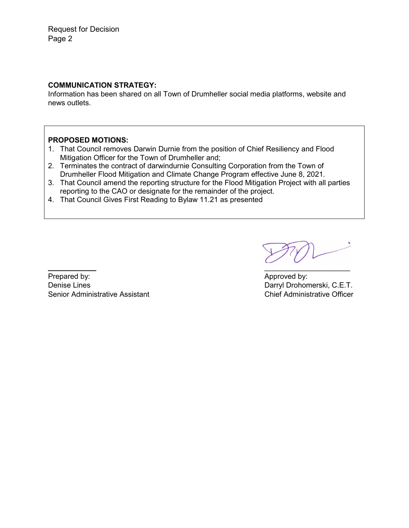Request for Decision Page 2

## **COMMUNICATION STRATEGY:**

Information has been shared on all Town of Drumheller social media platforms, website and news outlets.

## **PROPOSED MOTIONS:**

- 1. That Council removes Darwin Durnie from the position of Chief Resiliency and Flood Mitigation Officer for the Town of Drumheller and;
- 2. Terminates the contract of darwindurnie Consulting Corporation from the Town of Drumheller Flood Mitigation and Climate Change Program effective June 8, 2021.
- 3. That Council amend the reporting structure for the Flood Mitigation Project with all parties reporting to the CAO or designate for the remainder of the project.
- 4. That Council Gives First Reading to Bylaw 11.21 as presented

Prepared by:  $\blacksquare$  Approved by: Denise Lines **Darryl Drohomerski, C.E.T.** Senior Administrative Assistant Chief Administrative Officer

 $\mathcal{L}_\text{max}$  , where  $\mathcal{L}_\text{max}$  is the set of the set of the set of the set of the set of the set of the set of the set of the set of the set of the set of the set of the set of the set of the set of the set of the se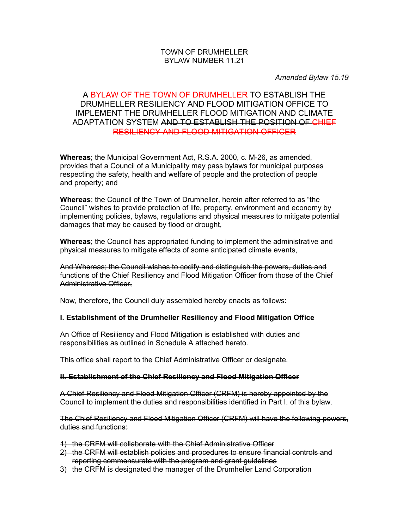## TOWN OF DRUMHELLER BYLAW NUMBER 11.21

*Amended Bylaw 15.19*

# A BYLAW OF THE TOWN OF DRUMHELLER TO ESTABLISH THE DRUMHELLER RESILIENCY AND FLOOD MITIGATION OFFICE TO IMPLEMENT THE DRUMHELLER FLOOD MITIGATION AND CLIMATE ADAPTATION SYSTEM AND TO ESTABLISH THE POSITION OF CHIEF RESILIENCY AND FLOOD MITIGATION OFFICER

**Whereas**; the Municipal Government Act, R.S.A. 2000, c. M-26, as amended, provides that a Council of a Municipality may pass bylaws for municipal purposes respecting the safety, health and welfare of people and the protection of people and property; and

**Whereas**; the Council of the Town of Drumheller, herein after referred to as "the Council" wishes to provide protection of life, property, environment and economy by implementing policies, bylaws, regulations and physical measures to mitigate potential damages that may be caused by flood or drought,

**Whereas**; the Council has appropriated funding to implement the administrative and physical measures to mitigate effects of some anticipated climate events,

And Whereas; the Council wishes to codify and distinguish the powers, duties and functions of the Chief Resiliency and Flood Mitigation Officer from those of the Chief Administrative Officer,

Now, therefore, the Council duly assembled hereby enacts as follows:

## **I. Establishment of the Drumheller Resiliency and Flood Mitigation Office**

An Office of Resiliency and Flood Mitigation is established with duties and responsibilities as outlined in Schedule A attached hereto.

This office shall report to the Chief Administrative Officer or designate.

#### **II. Establishment of the Chief Resiliency and Flood Mitigation Officer**

A Chief Resiliency and Flood Mitigation Officer (CRFM) is hereby appointed by the Council to implement the duties and responsibilities identified in Part I. of this bylaw.

The Chief Resiliency and Flood Mitigation Officer (CRFM) will have the following powers, duties and functions:

- 1) the CRFM will collaborate with the Chief Administrative Officer
- 2) the CRFM will establish policies and procedures to ensure financial controls and reporting commensurate with the program and grant guidelines
- 3) the CRFM is designated the manager of the Drumheller Land Corporation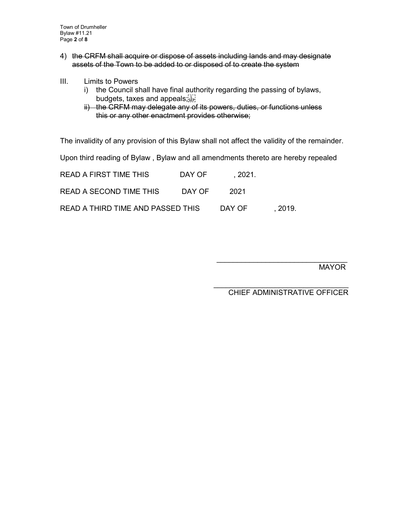Town of Drumheller Bylaw #11.21 Page **2** of **8**

- 4) the CRFM shall acquire or dispose of assets including lands and may designate assets of the Town to be added to or disposed of to create the system
- III. Limits to Powers
	- i) the Council shall have final authority regarding the passing of bylaws, budgets, taxes and appeals;
	- ii) the CRFM may delegate any of its powers, duties, or functions unless this or any other enactment provides otherwise;

The invalidity of any provision of this Bylaw shall not affect the validity of the remainder.

Upon third reading of Bylaw , Bylaw and all amendments thereto are hereby repealed

| READ A FIRST TIME THIS            | DAY OF | . 2021. |         |
|-----------------------------------|--------|---------|---------|
| READ A SECOND TIME THIS           | DAY OF | 2021    |         |
| READ A THIRD TIME AND PASSED THIS |        | DAY OF  | . 2019. |

MAYOR

\_\_\_\_\_\_\_\_\_\_\_\_\_\_\_\_\_\_\_\_\_\_\_\_\_\_\_\_\_\_\_\_\_ CHIEF ADMINISTRATIVE OFFICER

 $\mathcal{L}=\frac{1}{2}$  , where  $\mathcal{L}=\frac{1}{2}$  , where  $\mathcal{L}=\frac{1}{2}$  , where  $\mathcal{L}=\frac{1}{2}$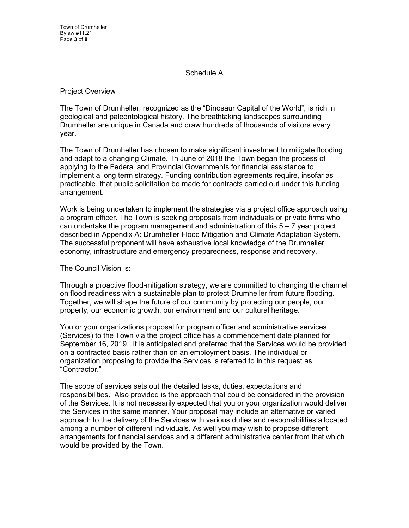Town of Drumheller Bylaw #11.21 Page **3** of **8**

#### Schedule A

Project Overview

The Town of Drumheller, recognized as the "Dinosaur Capital of the World", is rich in geological and paleontological history. The breathtaking landscapes surrounding Drumheller are unique in Canada and draw hundreds of thousands of visitors every year.

The Town of Drumheller has chosen to make significant investment to mitigate flooding and adapt to a changing Climate. In June of 2018 the Town began the process of applying to the Federal and Provincial Governments for financial assistance to implement a long term strategy. Funding contribution agreements require, insofar as practicable, that public solicitation be made for contracts carried out under this funding arrangement.

Work is being undertaken to implement the strategies via a project office approach using a program officer. The Town is seeking proposals from individuals or private firms who can undertake the program management and administration of this  $5 - 7$  year project described in Appendix A: Drumheller Flood Mitigation and Climate Adaptation System. The successful proponent will have exhaustive local knowledge of the Drumheller economy, infrastructure and emergency preparedness, response and recovery.

The Council Vision is:

Through a proactive flood-mitigation strategy, we are committed to changing the channel on flood readiness with a sustainable plan to protect Drumheller from future flooding. Together, we will shape the future of our community by protecting our people, our property, our economic growth, our environment and our cultural heritage.

You or your organizations proposal for program officer and administrative services (Services) to the Town via the project office has a commencement date planned for September 16, 2019. It is anticipated and preferred that the Services would be provided on a contracted basis rather than on an employment basis. The individual or organization proposing to provide the Services is referred to in this request as "Contractor."

The scope of services sets out the detailed tasks, duties, expectations and responsibilities. Also provided is the approach that could be considered in the provision of the Services. It is not necessarily expected that you or your organization would deliver the Services in the same manner. Your proposal may include an alternative or varied approach to the delivery of the Services with various duties and responsibilities allocated among a number of different individuals. As well you may wish to propose different arrangements for financial services and a different administrative center from that which would be provided by the Town.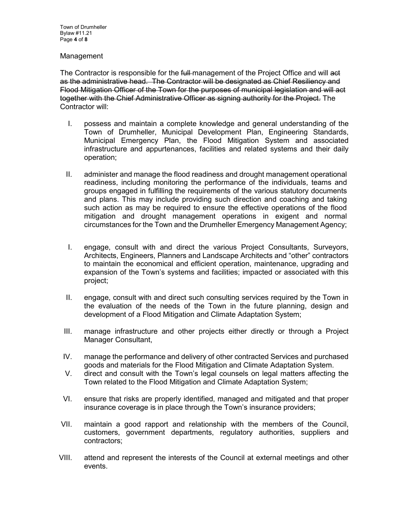#### **Management**

The Contractor is responsible for the full-management of the Project Office and will ast as the administrative head. The Contractor will be designated as Chief Resiliency and Flood Mitigation Officer of the Town for the purposes of municipal legislation and will act together with the Chief Administrative Officer as signing authority for the Project. The Contractor will:

- I. possess and maintain a complete knowledge and general understanding of the Town of Drumheller, Municipal Development Plan, Engineering Standards, Municipal Emergency Plan, the Flood Mitigation System and associated infrastructure and appurtenances, facilities and related systems and their daily operation;
- II. administer and manage the flood readiness and drought management operational readiness, including monitoring the performance of the individuals, teams and groups engaged in fulfilling the requirements of the various statutory documents and plans. This may include providing such direction and coaching and taking such action as may be required to ensure the effective operations of the flood mitigation and drought management operations in exigent and normal circumstances for the Town and the Drumheller Emergency Management Agency;
- I. engage, consult with and direct the various Project Consultants, Surveyors, Architects, Engineers, Planners and Landscape Architects and "other" contractors to maintain the economical and efficient operation, maintenance, upgrading and expansion of the Town's systems and facilities; impacted or associated with this project;
- II. engage, consult with and direct such consulting services required by the Town in the evaluation of the needs of the Town in the future planning, design and development of a Flood Mitigation and Climate Adaptation System;
- III. manage infrastructure and other projects either directly or through a Project Manager Consultant,
- IV. manage the performance and delivery of other contracted Services and purchased goods and materials for the Flood Mitigation and Climate Adaptation System.
- V. direct and consult with the Town's legal counsels on legal matters affecting the Town related to the Flood Mitigation and Climate Adaptation System;
- VI. ensure that risks are properly identified, managed and mitigated and that proper insurance coverage is in place through the Town's insurance providers;
- VII. maintain a good rapport and relationship with the members of the Council, customers, government departments, regulatory authorities, suppliers and contractors;
- VIII. attend and represent the interests of the Council at external meetings and other events.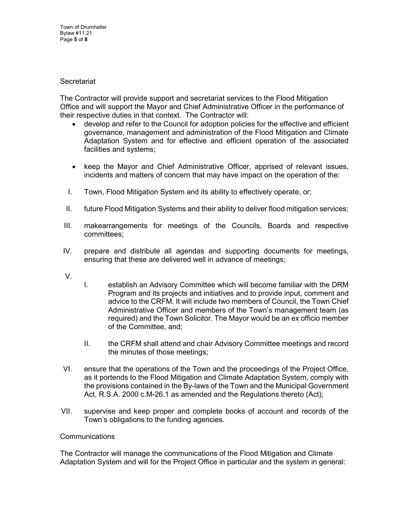Town of Drumheller Bylaw #11.21 Page **5** of **8**

#### **Secretariat**

The Contractor will provide support and secretariat services to the Flood Mitigation Office and will support the Mayor and Chief Administrative Officer in the performance of their respective duties in that context. The Contractor will:

- develop and refer to the Council for adoption policies for the effective and efficient governance, management and administration of the Flood Mitigation and Climate Adaptation System and for effective and efficient operation of the associated facilities and systems;
- keep the Mayor and Chief Administrative Officer, apprised of relevant issues, incidents and matters of concern that may have impact on the operation of the:
- I. Town, Flood Mitigation System and its ability to effectively operate, or;
- II. future Flood Mitigation Systems and their ability to deliver flood mitigation services;
- III. makearrangements for meetings of the Councils, Boards and respective committees;
- IV. prepare and distribute all agendas and supporting documents for meetings, ensuring that these are delivered well in advance of meetings;
- V.
- I. establish an Advisory Committee which will become familiar with the DRM Program and its projects and initiatives and to provide input, comment and advice to the CRFM. It will include two members of Council, the Town Chief Administrative Officer and members of the Town's management team (as required) and the Town Solicitor. The Mayor would be an ex officio member of the Committee, and;
- II. the CRFM shall attend and chair Advisory Committee meetings and record the minutes of those meetings;
- VI. ensure that the operations of the Town and the proceedings of the Project Office, as it portends to the Flood Mitigation and Climate Adaptation System, comply with the provisions contained in the By-laws of the Town and the Municipal Government Act, R.S.A. 2000 c.M-26.1 as amended and the Regulations thereto (Act);
- VII. supervise and keep proper and complete books of account and records of the Town's obligations to the funding agencies.

## **Communications**

The Contractor will manage the communications of the Flood Mitigation and Climate Adaptation System and will for the Project Office in particular and the system in general: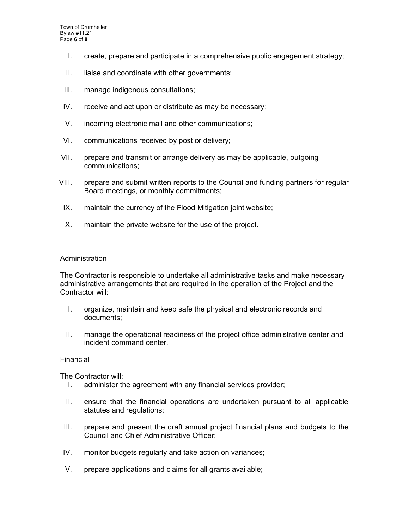- I. create, prepare and participate in a comprehensive public engagement strategy;
- II. liaise and coordinate with other governments;
- III. manage indigenous consultations;
- IV. receive and act upon or distribute as may be necessary;
- V. incoming electronic mail and other communications;
- VI. communications received by post or delivery;
- VII. prepare and transmit or arrange delivery as may be applicable, outgoing communications;
- VIII. prepare and submit written reports to the Council and funding partners for regular Board meetings, or monthly commitments;
- IX. maintain the currency of the Flood Mitigation joint website;
- X. maintain the private website for the use of the project.

#### **Administration**

The Contractor is responsible to undertake all administrative tasks and make necessary administrative arrangements that are required in the operation of the Project and the Contractor will:

- I. organize, maintain and keep safe the physical and electronic records and documents;
- II. manage the operational readiness of the project office administrative center and incident command center.

#### Financial

The Contractor will:

- I. administer the agreement with any financial services provider;
- II. ensure that the financial operations are undertaken pursuant to all applicable statutes and regulations;
- III. prepare and present the draft annual project financial plans and budgets to the Council and Chief Administrative Officer;
- IV. monitor budgets regularly and take action on variances;
- V. prepare applications and claims for all grants available;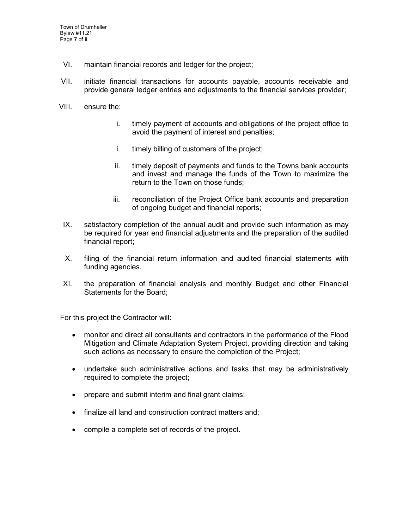- VI. maintain financial records and ledger for the project;
- VII. initiate financial transactions for accounts payable, accounts receivable and provide general ledger entries and adjustments to the financial services provider;
- VIII. ensure the:
	- i. timely payment of accounts and obligations of the project office to avoid the payment of interest and penalties;
	- i. timely billing of customers of the project;
	- ii. timely deposit of payments and funds to the Towns bank accounts and invest and manage the funds of the Town to maximize the return to the Town on those funds;
	- iii. reconciliation of the Project Office bank accounts and preparation of ongoing budget and financial reports;
- IX. satisfactory completion of the annual audit and provide such information as may be required for year end financial adjustments and the preparation of the audited financial report;
- X. filing of the financial return information and audited financial statements with funding agencies.
- XI. the preparation of financial analysis and monthly Budget and other Financial Statements for the Board;

For this project the Contractor will:

- monitor and direct all consultants and contractors in the performance of the Flood Mitigation and Climate Adaptation System Project, providing direction and taking such actions as necessary to ensure the completion of the Project;
- undertake such administrative actions and tasks that may be administratively required to complete the project;
- prepare and submit interim and final grant claims;
- finalize all land and construction contract matters and;
- compile a complete set of records of the project.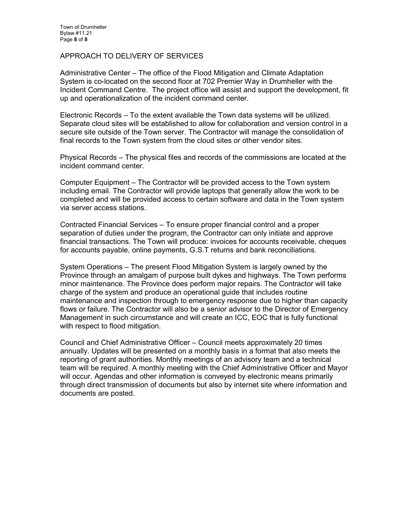#### APPROACH TO DELIVERY OF SERVICES

Administrative Center – The office of the Flood Mitigation and Climate Adaptation System is co-located on the second floor at 702 Premier Way in Drumheller with the Incident Command Centre. The project office will assist and support the development, fit up and operationalization of the incident command center.

Electronic Records – To the extent available the Town data systems will be utilized. Separate cloud sites will be established to allow for collaboration and version control in a secure site outside of the Town server. The Contractor will manage the consolidation of final records to the Town system from the cloud sites or other vendor sites.

Physical Records – The physical files and records of the commissions are located at the incident command center.

Computer Equipment – The Contractor will be provided access to the Town system including email. The Contractor will provide laptops that generally allow the work to be completed and will be provided access to certain software and data in the Town system via server access stations.

Contracted Financial Services – To ensure proper financial control and a proper separation of duties under the program, the Contractor can only initiate and approve financial transactions. The Town will produce: invoices for accounts receivable, cheques for accounts payable, online payments, G.S.T returns and bank reconciliations.

System Operations – The present Flood Mitigation System is largely owned by the Province through an amalgam of purpose built dykes and highways. The Town performs minor maintenance. The Province does perform major repairs. The Contractor will take charge of the system and produce an operational guide that includes routine maintenance and inspection through to emergency response due to higher than capacity flows or failure. The Contractor will also be a senior advisor to the Director of Emergency Management in such circumstance and will create an ICC, EOC that is fully functional with respect to flood mitigation.

Council and Chief Administrative Officer – Council meets approximately 20 times annually. Updates will be presented on a monthly basis in a format that also meets the reporting of grant authorities. Monthly meetings of an advisory team and a technical team will be required. A monthly meeting with the Chief Administrative Officer and Mayor will occur. Agendas and other information is conveyed by electronic means primarily through direct transmission of documents but also by internet site where information and documents are posted.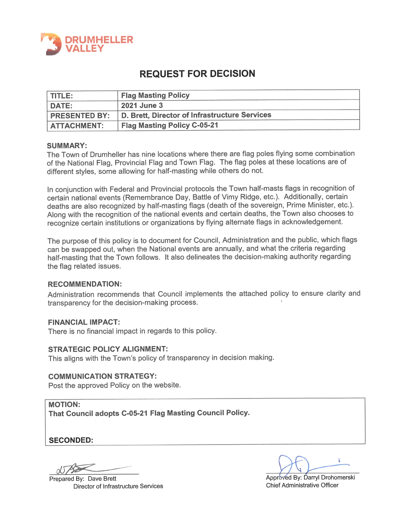

# **REQUEST FOR DECISION**

| <b>TITLE:</b>        | <b>Flag Masting Policy</b>                    |
|----------------------|-----------------------------------------------|
| DATE:                | <b>2021 June 3</b>                            |
| <b>PRESENTED BY:</b> | D. Brett, Director of Infrastructure Services |
| <b>ATTACHMENT:</b>   | <b>Flag Masting Policy C-05-21</b>            |

#### **SUMMARY:**

The Town of Drumheller has nine locations where there are flag poles flying some combination of the National Flag, Provincial Flag and Town Flag. The flag poles at these locations are of different styles, some allowing for half-masting while others do not.

In conjunction with Federal and Provincial protocols the Town half-masts flags in recognition of certain national events (Remembrance Day, Battle of Vimy Ridge, etc.). Additionally, certain deaths are also recognized by half-masting flags (death of the sovereign, Prime Minister, etc.). Along with the recognition of the national events and certain deaths, the Town also chooses to recognize certain institutions or organizations by flying alternate flags in acknowledgement.

The purpose of this policy is to document for Council, Administration and the public, which flags can be swapped out, when the National events are annually, and what the criteria regarding half-masting that the Town follows. It also delineates the decision-making authority regarding the flag related issues.

#### **RECOMMENDATION:**

Administration recommends that Council implements the attached policy to ensure clarity and transparency for the decision-making process.

#### **FINANCIAL IMPACT:**

There is no financial impact in regards to this policy.

#### **STRATEGIC POLICY ALIGNMENT:**

This aligns with the Town's policy of transparency in decision making.

#### **COMMUNICATION STRATEGY:**

Post the approved Policy on the website.

**MOTION:** That Council adopts C-05-21 Flag Masting Council Policy.

**SECONDED:** 

Prepared By: Dave Brett **Director of Infrastructure Services** 

Approved By: Darryl Drohomerski **Chief Administrative Officer**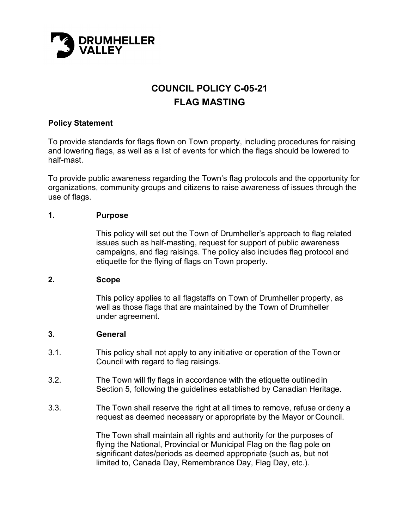

# **COUNCIL POLICY C-05-21 FLAG MASTING**

# **Policy Statement**

To provide standards for flags flown on Town property, including procedures for raising and lowering flags, as well as a list of events for which the flags should be lowered to half-mast.

To provide public awareness regarding the Town's flag protocols and the opportunity for organizations, community groups and citizens to raise awareness of issues through the use of flags.

## **1. Purpose**

This policy will set out the Town of Drumheller's approach to flag related issues such as half-masting, request for support of public awareness campaigns, and flag raisings. The policy also includes flag protocol and etiquette for the flying of flags on Town property.

## **2. Scope**

This policy applies to all flagstaffs on Town of Drumheller property, as well as those flags that are maintained by the Town of Drumheller under agreement.

## **3. General**

- 3.1. This policy shall not apply to any initiative or operation of the Town or Council with regard to flag raisings.
- 3.2. The Town will fly flags in accordance with the etiquette outlined in Section 5, following the guidelines established by Canadian Heritage.
- 3.3. The Town shall reserve the right at all times to remove, refuse or deny a request as deemed necessary or appropriate by the Mayor or Council.

The Town shall maintain all rights and authority for the purposes of flying the National, Provincial or Municipal Flag on the flag pole on significant dates/periods as deemed appropriate (such as, but not limited to, Canada Day, Remembrance Day, Flag Day, etc.).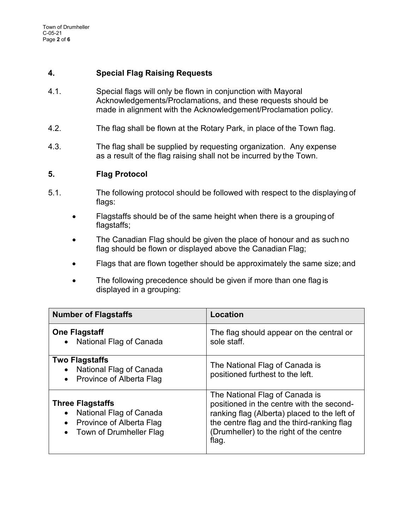# **4. Special Flag Raising Requests**

- 4.1. Special flags will only be flown in conjunction with Mayoral Acknowledgements/Proclamations, and these requests should be made in alignment with the Acknowledgement/Proclamation policy.
- 4.2. The flag shall be flown at the Rotary Park, in place of the Town flag.
- 4.3. The flag shall be supplied by requesting organization. Any expense as a result of the flag raising shall not be incurred by the Town.

# **5. Flag Protocol**

- 5.1. The following protocol should be followed with respect to the displaying of flags:
	- Flagstaffs should be of the same height when there is a grouping of flagstaffs;
	- The Canadian Flag should be given the place of honour and as such no flag should be flown or displayed above the Canadian Flag;
	- Flags that are flown together should be approximately the same size; and
	- The following precedence should be given if more than one flag is displayed in a grouping:

| <b>Number of Flagstaffs</b>                                                                               | Location                                                                                                                                                                                                                      |
|-----------------------------------------------------------------------------------------------------------|-------------------------------------------------------------------------------------------------------------------------------------------------------------------------------------------------------------------------------|
| <b>One Flagstaff</b><br>National Flag of Canada                                                           | The flag should appear on the central or<br>sole staff.                                                                                                                                                                       |
| <b>Two Flagstaffs</b><br>National Flag of Canada<br>Province of Alberta Flag                              | The National Flag of Canada is<br>positioned furthest to the left.                                                                                                                                                            |
| <b>Three Flagstaffs</b><br>National Flag of Canada<br>Province of Alberta Flag<br>Town of Drumheller Flag | The National Flag of Canada is<br>positioned in the centre with the second-<br>ranking flag (Alberta) placed to the left of<br>the centre flag and the third-ranking flag<br>(Drumheller) to the right of the centre<br>flag. |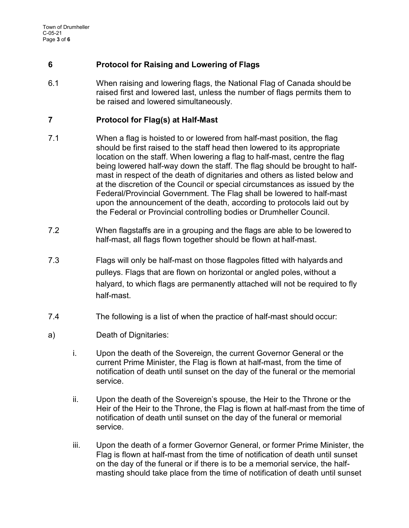# **6 Protocol for Raising and Lowering of Flags**

6.1 When raising and lowering flags, the National Flag of Canada should be raised first and lowered last, unless the number of flags permits them to be raised and lowered simultaneously.

# **7 Protocol for Flag(s) at Half-Mast**

- 7.1 When a flag is hoisted to or lowered from half-mast position, the flag should be first raised to the staff head then lowered to its appropriate location on the staff. When lowering a flag to half-mast, centre the flag being lowered half-way down the staff. The flag should be brought to halfmast in respect of the death of dignitaries and others as listed below and at the discretion of the Council or special circumstances as issued by the Federal/Provincial Government. The Flag shall be lowered to half-mast upon the announcement of the death, according to protocols laid out by the Federal or Provincial controlling bodies or Drumheller Council.
- 7.2 When flagstaffs are in a grouping and the flags are able to be lowered to half-mast, all flags flown together should be flown at half-mast.
- 7.3 Flags will only be half-mast on those flagpoles fitted with halyards and pulleys. Flags that are flown on horizontal or angled poles, without a halyard, to which flags are permanently attached will not be required to fly half-mast.
- 7.4 The following is a list of when the practice of half-mast should occur:
- a) Death of Dignitaries:
	- i. Upon the death of the Sovereign, the current Governor General or the current Prime Minister, the Flag is flown at half-mast, from the time of notification of death until sunset on the day of the funeral or the memorial service.
	- ii. Upon the death of the Sovereign's spouse, the Heir to the Throne or the Heir of the Heir to the Throne, the Flag is flown at half-mast from the time of notification of death until sunset on the day of the funeral or memorial service.
	- iii. Upon the death of a former Governor General, or former Prime Minister, the Flag is flown at half-mast from the time of notification of death until sunset on the day of the funeral or if there is to be a memorial service, the halfmasting should take place from the time of notification of death until sunset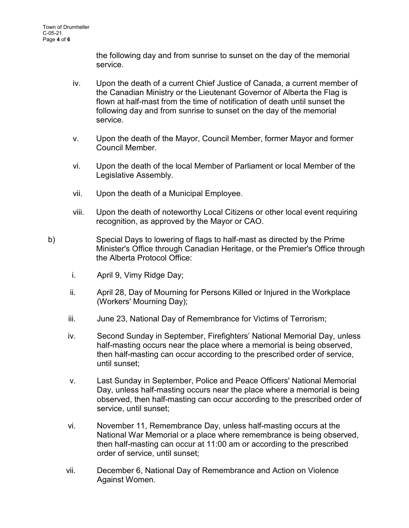the following day and from sunrise to sunset on the day of the memorial service.

- iv. Upon the death of a current Chief Justice of Canada, a current member of the Canadian Ministry or the Lieutenant Governor of Alberta the Flag is flown at half-mast from the time of notification of death until sunset the following day and from sunrise to sunset on the day of the memorial service.
- v. Upon the death of the Mayor, Council Member, former Mayor and former Council Member.
- vi. Upon the death of the local Member of Parliament or local Member of the Legislative Assembly.
- vii. Upon the death of a Municipal Employee.
- viii. Upon the death of noteworthy Local Citizens or other local event requiring recognition, as approved by the Mayor or CAO.
- b) Special Days to lowering of flags to half-mast as directed by the Prime Minister's Office through Canadian Heritage, or the Premier's Office through the Alberta Protocol Office:
	- i. April 9, Vimy Ridge Day;
	- ii. April 28, Day of Mourning for Persons Killed or Injured in the Workplace (Workers' Mourning Day);
	- iii. June 23, National Day of Remembrance for Victims of Terrorism;
	- iv. Second Sunday in September, Firefighters' National Memorial Day, unless half-masting occurs near the place where a memorial is being observed, then half-masting can occur according to the prescribed order of service, until sunset;
	- v. Last Sunday in September, Police and Peace Officers' National Memorial Day, unless half-masting occurs near the place where a memorial is being observed, then half-masting can occur according to the prescribed order of service, until sunset;
	- vi. November 11, Remembrance Day, unless half-masting occurs at the National War Memorial or a place where remembrance is being observed, then half-masting can occur at 11:00 am or according to the prescribed order of service, until sunset;
	- vii. December 6, National Day of Remembrance and Action on Violence Against Women.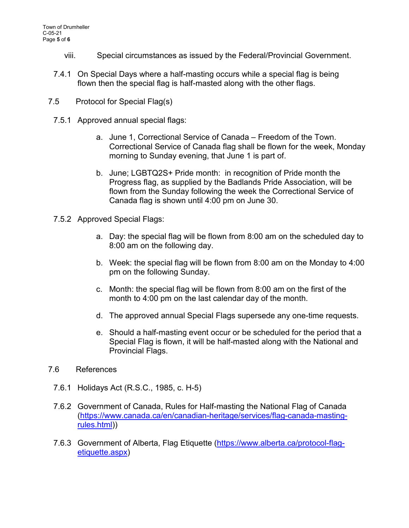- viii. Special circumstances as issued by the Federal/Provincial Government.
- 7.4.1 On Special Days where a half-masting occurs while a special flag is being flown then the special flag is half-masted along with the other flags.
- 7.5Protocol for Special Flag(s)
	- 7.5.1 Approved annual special flags:
		- a. June 1, Correctional Service of Canada Freedom of the Town. Correctional Service of Canada flag shall be flown for the week, Monday morning to Sunday evening, that June 1 is part of.
		- b. June; LGBTQ2S+ Pride month: in recognition of Pride month the Progress flag, as supplied by the Badlands Pride Association, will be flown from the Sunday following the week the Correctional Service of Canada flag is shown until 4:00 pm on June 30.
	- 7.5.2 Approved Special Flags:
		- a. Day: the special flag will be flown from 8:00 am on the scheduled day to 8:00 am on the following day.
		- b. Week: the special flag will be flown from 8:00 am on the Monday to 4:00 pm on the following Sunday.
		- c. Month: the special flag will be flown from 8:00 am on the first of the month to 4:00 pm on the last calendar day of the month.
		- d. The approved annual Special Flags supersede any one-time requests.
		- e. Should a half-masting event occur or be scheduled for the period that a Special Flag is flown, it will be half-masted along with the National and Provincial Flags.
- 7.6References
	- 7.6.1 Holidays Act (R.S.C., 1985, c. H-5)
	- 7.6.2 Government of Canada, Rules for Half-masting the National Flag of Canada [\(https://www.canada.ca/en/canadian-heritage/services/flag-canada-masting](https://www.canada.ca/en/canadian-heritage/services/flag-canada-masting-rules.html)[rules.html\)](https://www.canada.ca/en/canadian-heritage/services/flag-canada-masting-rules.html))
	- 7.6.3 Government of Alberta, Flag Etiquette [\(https://www.alberta.ca/protocol-flag](https://www.alberta.ca/protocol-flag-etiquette.aspx)[etiquette.aspx\)](https://www.alberta.ca/protocol-flag-etiquette.aspx)